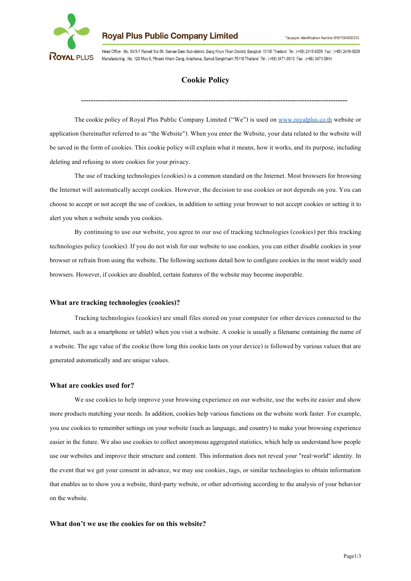

**Royal Plus Public Company Limited** 

Head Office : No. 84/3-7 Ramall Soi 69, Samae Dam Sub-district, Bang Khun Thian District, Bangkok 10150 Thailand, Tel : (+66) 2416-9209, Eax : (+66) 2416-9209 Manufacturing : No. 129 Moo 6, Phraek Nham Dang, Amphawa, Samut Songkhram 75110 Thailand Tel : (+66) 3471-0910 Fax : (+66) 3471-0914

# **Cookie Policy**

---------------------------------------------------------------------------------------------------------------

The cookie policy of Royal Plus Public Company Limited ("We") is used on www.[royalplus](http://www.royalplus.co.th/).co.th website or application (hereinafter referred to as "the Website"). When you enter the Website, your data related to the website will be saved in the form of cookies. This cookie policy will explain what it means, how it works, and its purpose, including deleting and refusing to store cookies for your privacy.

The use of tracking technologies (cookies) is a common standard on the Internet. Most browsers for browsing the Internet will automatically accept cookies. However, the decision to use cookies or not depends on you. You can choose to accept or not accept the use of cookies, in addition to setting yourbrowser to not accept cookies or setting it to alert you when a website sends you cookies.

By continuing to use our website, you agree to our use of tracking technologies (cookies) per this tracking technologies policy (cookies). If you do not wish for our website to use cookies, you can either disable cookies in your browser or refrain from using the website. The following sections detail how to configure cookies in the most widely used browsers. However, if cookies are disabled, certain features of the website may become inoperable.

# **What are tracking technologies (cookies)?**

Tracking technologies (cookies) are small files stored on your computer (or other devices connected to the Internet, such as a smartphone or tablet) when you visit a website. A cookie is usually a filename containing the name of a website. The age value of the cookie (how long this cookie lasts on your device) is followed by various values that are generated automatically and are unique values.

# **What are cookies used for?**

We use cookies to help improve your browsing experience on our website, use the website easier and show more products matching your needs. In addition, cookies help various functions on the website work faster. For example, you use cookies to remember settings on your website (such as language, and country) to make your browsing experience easier in the future. We also use cookies to collect anonymous aggregated statistics, which help us understand how people use our websites and improve their structure and content. This information does not reveal your "real-world" identity. In the event that we get your consent in advance, we may use cookies, tags, or similar technologies to obtain information that enables us to show you a website, third-party website, or other advertising according to the analysis of your behavior on the website.

# **What don't we use the cookies for on this website?**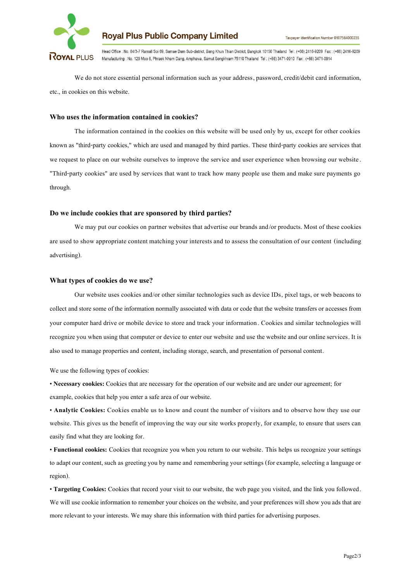

**Royal Plus Public Company Limited** 

Head Office : No. 84/3-7 Ramall Soi 69, Samae Dam Sub-district, Bang Khun Thian District, Bangkok 10150 Thailand, Tel : (+66) 2416-9209, Fax : (+66) 2416-9209 Manufacturing : No. 129 Moo 6, Phraek Nham Dang, Amphawa, Samut Songkhram 75110 Thailand Tel : (+66) 3471-0910 Fax : (+66) 3471-0914

We do not store essential personal information such as your address, password, credit/debit card information, etc., in cookies on this website.

# **Who uses the information contained in cookies?**

The information contained in the cookies on this website will be used only by us, except for other cookies known as "third-party cookies," which are used and managed by third parties. These third-party cookies are services that we request to place on our website ourselves to improve the service and user experience when browsing our website. "Third-party cookies" are used by services that want to track how many people use them and make sure payments go through.

## **Do we include cookies that are sponsored by third parties?**

We may put our cookies on partner websites that advertise our brands and/or products. Most of these cookies are used to show appropriate content matching your interests and to assess the consultation of our content (including advertising).

#### **What types of cookies do we use?**

Our website uses cookies and/or other similar technologies such as device IDs, pixel tags, or web beacons to collect and store some of the information normally associated with data or code that the website transfers or accesses from your computer hard drive or mobile device to store and track your information. Cookies and similar technologies will recognize you when using that computer or device to enter our website and use the website and our online services. It is also used to manage properties and content, including storage, search, and presentation of personal content.

We use the following types of cookies:

• **Necessary cookies:** Cookies that are necessary for the operation of our website and are under our agreement; for example, cookies that help you enter a safe area of our website.

• **Analytic Cookies:** Cookies enable us to know and count the number of visitors and to observe how they use our website. This gives us the benefit of improving the way our site works properly, for example, to ensure that users can easily find what they are looking for.

• **Functional cookies:** Cookies that recognize you when you return to our website. This helps us recognize your settings to adapt our content, such as greeting you by name and remembering your settings (for example, selecting a language or region).

• **Targeting Cookies:** Cookies that record your visit to our website, the web page you visited, and the link you followed. We will use cookie information to remember your choices on the website, and your preferences will show you ads that are more relevant to your interests. We may share this information with third parties for advertising purposes.